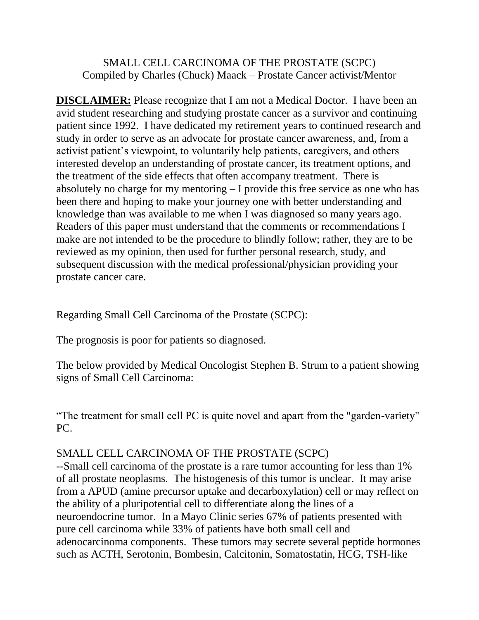## SMALL CELL CARCINOMA OF THE PROSTATE (SCPC) Compiled by Charles (Chuck) Maack – Prostate Cancer activist/Mentor

**DISCLAIMER:** Please recognize that I am not a Medical Doctor. I have been an avid student researching and studying prostate cancer as a survivor and continuing patient since 1992. I have dedicated my retirement years to continued research and study in order to serve as an advocate for prostate cancer awareness, and, from a activist patient's viewpoint, to voluntarily help patients, caregivers, and others interested develop an understanding of prostate cancer, its treatment options, and the treatment of the side effects that often accompany treatment. There is absolutely no charge for my mentoring – I provide this free service as one who has been there and hoping to make your journey one with better understanding and knowledge than was available to me when I was diagnosed so many years ago. Readers of this paper must understand that the comments or recommendations I make are not intended to be the procedure to blindly follow; rather, they are to be reviewed as my opinion, then used for further personal research, study, and subsequent discussion with the medical professional/physician providing your prostate cancer care.

Regarding Small Cell Carcinoma of the Prostate (SCPC):

The prognosis is poor for patients so diagnosed.

The below provided by Medical Oncologist Stephen B. Strum to a patient showing signs of Small Cell Carcinoma:

"The treatment for small cell PC is quite novel and apart from the "garden-variety" PC.

## SMALL CELL CARCINOMA OF THE PROSTATE (SCPC)

--Small cell carcinoma of the prostate is a rare tumor accounting for less than 1% of all prostate neoplasms. The histogenesis of this tumor is unclear. It may arise from a APUD (amine precursor uptake and decarboxylation) cell or may reflect on the ability of a pluripotential cell to differentiate along the lines of a neuroendocrine tumor. In a Mayo Clinic series 67% of patients presented with pure cell carcinoma while 33% of patients have both small cell and adenocarcinoma components. These tumors may secrete several peptide hormones such as ACTH, Serotonin, Bombesin, Calcitonin, Somatostatin, HCG, TSH-like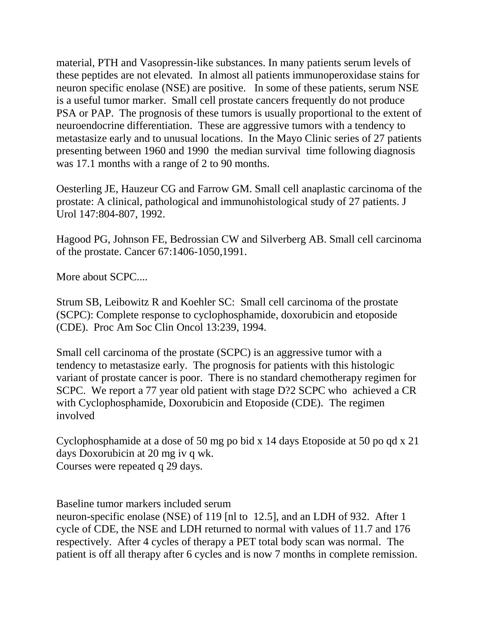material, PTH and Vasopressin-like substances. In many patients serum levels of these peptides are not elevated. In almost all patients immunoperoxidase stains for neuron specific enolase (NSE) are positive. In some of these patients, serum NSE is a useful tumor marker. Small cell prostate cancers frequently do not produce PSA or PAP. The prognosis of these tumors is usually proportional to the extent of neuroendocrine differentiation. These are aggressive tumors with a tendency to metastasize early and to unusual locations. In the Mayo Clinic series of 27 patients presenting between 1960 and 1990 the median survival time following diagnosis was 17.1 months with a range of 2 to 90 months.

Oesterling JE, Hauzeur CG and Farrow GM. Small cell anaplastic carcinoma of the prostate: A clinical, pathological and immunohistological study of 27 patients. J Urol 147:804-807, 1992.

Hagood PG, Johnson FE, Bedrossian CW and Silverberg AB. Small cell carcinoma of the prostate. Cancer 67:1406-1050,1991.

More about SCPC....

Strum SB, Leibowitz R and Koehler SC: Small cell carcinoma of the prostate (SCPC): Complete response to cyclophosphamide, doxorubicin and etoposide (CDE). Proc Am Soc Clin Oncol 13:239, 1994.

Small cell carcinoma of the prostate (SCPC) is an aggressive tumor with a tendency to metastasize early. The prognosis for patients with this histologic variant of prostate cancer is poor. There is no standard chemotherapy regimen for SCPC. We report a 77 year old patient with stage D?2 SCPC who achieved a CR with Cyclophosphamide, Doxorubicin and Etoposide (CDE). The regimen involved

Cyclophosphamide at a dose of 50 mg po bid x 14 days Etoposide at 50 po qd x 21 days Doxorubicin at 20 mg iv q wk. Courses were repeated q 29 days.

Baseline tumor markers included serum

neuron-specific enolase (NSE) of 119 [nl to 12.5], and an LDH of 932. After 1 cycle of CDE, the NSE and LDH returned to normal with values of 11.7 and 176 respectively. After 4 cycles of therapy a PET total body scan was normal. The patient is off all therapy after 6 cycles and is now 7 months in complete remission.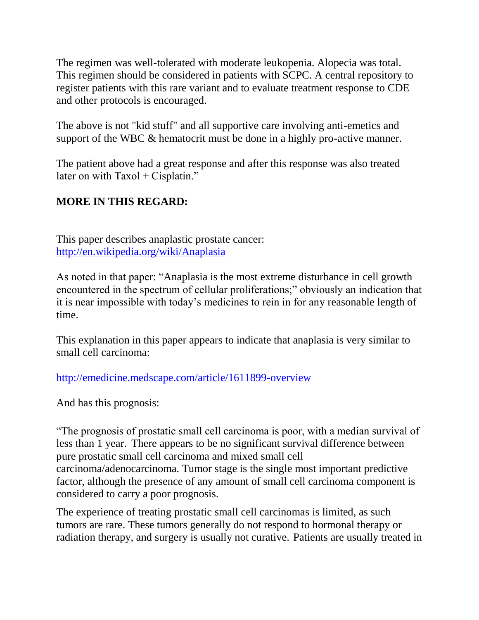The regimen was well-tolerated with moderate leukopenia. Alopecia was total. This regimen should be considered in patients with SCPC. A central repository to register patients with this rare variant and to evaluate treatment response to CDE and other protocols is encouraged.

The above is not "kid stuff" and all supportive care involving anti-emetics and support of the WBC & hematocrit must be done in a highly pro-active manner.

The patient above had a great response and after this response was also treated later on with  $Taxol + Cisplatin."$ 

## **MORE IN THIS REGARD:**

This paper describes anaplastic prostate cancer: <http://en.wikipedia.org/wiki/Anaplasia>

As noted in that paper: "Anaplasia is the most extreme disturbance in cell growth encountered in the spectrum of cellular proliferations;" obviously an indication that it is near impossible with today's medicines to rein in for any reasonable length of time.

This explanation in this paper appears to indicate that anaplasia is very similar to small cell carcinoma:

<http://emedicine.medscape.com/article/1611899-overview>

And has this prognosis:

"The prognosis of prostatic small cell carcinoma is poor, with a median survival of less than 1 year. There appears to be no significant survival difference between pure prostatic small cell carcinoma and mixed small cell carcinoma/adenocarcinoma. Tumor stage is the single most important predictive factor, although the presence of any amount of small cell carcinoma component is considered to carry a poor prognosis.

The experience of treating prostatic small cell carcinomas is limited, as such tumors are rare. These tumors generally do not respond to hormonal therapy or radiation therapy, and surgery is usually not curative[.](javascript:showrefcontent() Patients are usually treated in